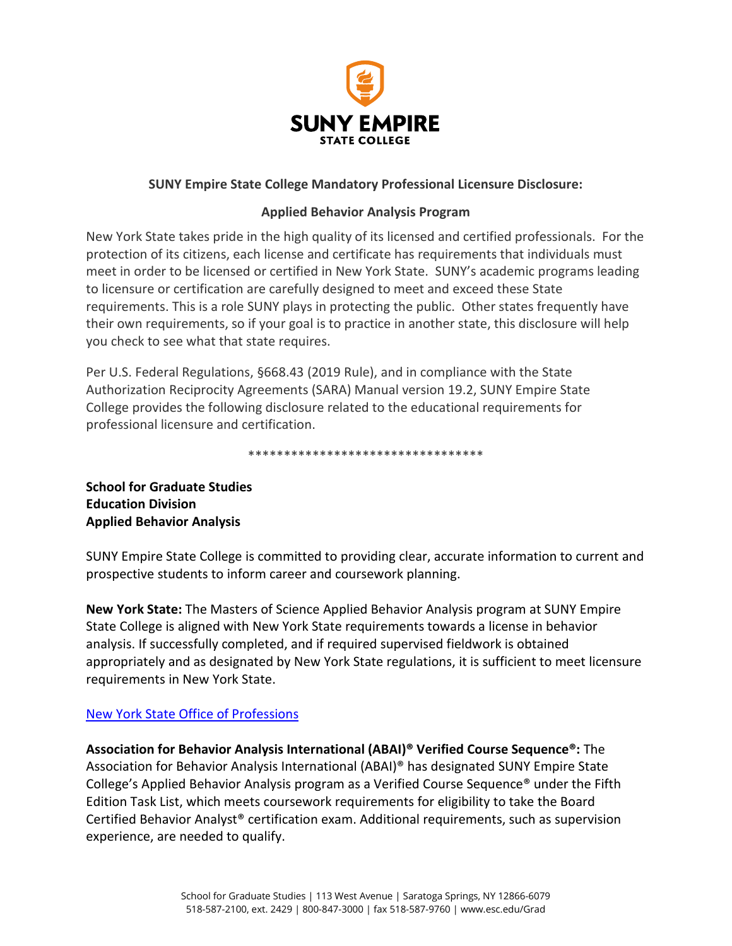

## **SUNY Empire State College Mandatory Professional Licensure Disclosure:**

## **Applied Behavior Analysis Program**

New York State takes pride in the high quality of its licensed and certified professionals. For the protection of its citizens, each license and certificate has requirements that individuals must meet in order to be licensed or certified in New York State. SUNY's academic programs leading to licensure or certification are carefully designed to meet and exceed these State requirements. This is a role SUNY plays in protecting the public. Other states frequently have their own requirements, so if your goal is to practice in another state, this disclosure will help you check to see what that state requires.

Per U.S. Federal Regulations, §668.43 (2019 Rule), and in compliance with the State Authorization Reciprocity Agreements (SARA) Manual version 19.2, SUNY Empire State College provides the following disclosure related to the educational requirements for professional licensure and certification.

\*\*\*\*\*\*\*\*\*\*\*\*\*\*\*\*\*\*\*\*\*\*\*\*\*\*\*\*\*\*\*\*\*

**School for Graduate Studies Education Division Applied Behavior Analysis**

SUNY Empire State College is committed to providing clear, accurate information to current and prospective students to inform career and coursework planning.

**New York State:** The Masters of Science Applied Behavior Analysis program at SUNY Empire State College is aligned with New York State requirements towards a license in behavior analysis. If successfully completed, and if required supervised fieldwork is obtained appropriately and as designated by New York State regulations, it is sufficient to meet licensure requirements in New York State.

## [New York State Office of Professions](http://www.op.nysed.gov/prof/aba/abalic.htm)

**Association for Behavior Analysis International (ABAI)® Verified Course Sequence®:** The Association for Behavior Analysis International (ABAI)® has designated SUNY Empire State College's Applied Behavior Analysis program as a Verified Course Sequence® under the Fifth Edition Task List, which meets coursework requirements for eligibility to take the Board Certified Behavior Analyst® certification exam. Additional requirements, such as supervision experience, are needed to qualify.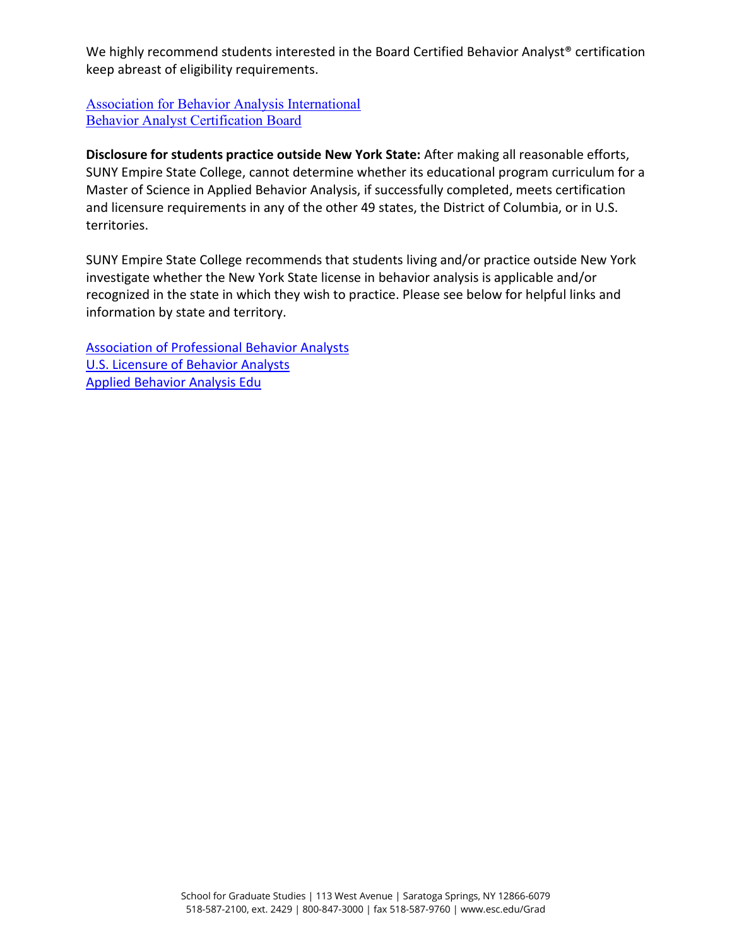We highly recommend students interested in the Board Certified Behavior Analyst® certification keep abreast of eligibility requirements.

[Association for Behavior Analysis International](https://www.abainternational.org/vcs/) [Behavior Analyst Certification Board](https://www.bacb.com/)

**Disclosure for students practice outside New York State:** After making all reasonable efforts, SUNY Empire State College, cannot determine whether its educational program curriculum for a Master of Science in Applied Behavior Analysis, if successfully completed, meets certification and licensure requirements in any of the other 49 states, the District of Columbia, or in U.S. territories.

SUNY Empire State College recommends that students living and/or practice outside New York investigate whether the New York State license in behavior analysis is applicable and/or recognized in the state in which they wish to practice. Please see below for helpful links and information by state and territory.

[Association of Professional Behavior Analysts](https://www.apbahome.net/general/recommended_links.asp) [U.S. Licensure of Behavior Analysts](https://www.bacb.com/u-s-licensure-of-behavior-analysts/) [Applied Behavior Analysis Edu](https://www.appliedbehavioranalysisedu.org/state-by-state-guide-to-aba-licensing/)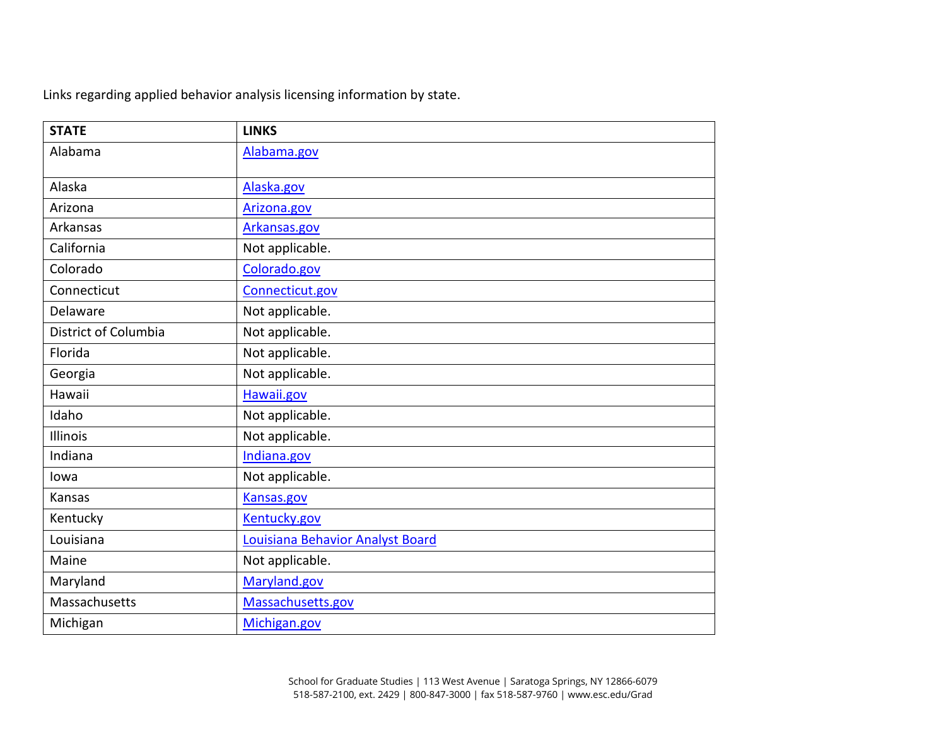Links regarding applied behavior analysis licensing information by state.

| <b>STATE</b>         | <b>LINKS</b>                     |
|----------------------|----------------------------------|
| Alabama              | Alabama.gov                      |
|                      |                                  |
| Alaska               | Alaska.gov                       |
| Arizona              | Arizona.gov                      |
| Arkansas             | Arkansas.gov                     |
| California           | Not applicable.                  |
| Colorado             | Colorado.gov                     |
| Connecticut          | Connecticut.gov                  |
| Delaware             | Not applicable.                  |
| District of Columbia | Not applicable.                  |
| Florida              | Not applicable.                  |
| Georgia              | Not applicable.                  |
| Hawaii               | Hawaii.gov                       |
| Idaho                | Not applicable.                  |
| Illinois             | Not applicable.                  |
| Indiana              | Indiana.gov                      |
| lowa                 | Not applicable.                  |
| Kansas               | Kansas.gov                       |
| Kentucky             | Kentucky.gov                     |
| Louisiana            | Louisiana Behavior Analyst Board |
| Maine                | Not applicable.                  |
| Maryland             | Maryland.gov                     |
| Massachusetts        | Massachusetts.gov                |
| Michigan             | Michigan.gov                     |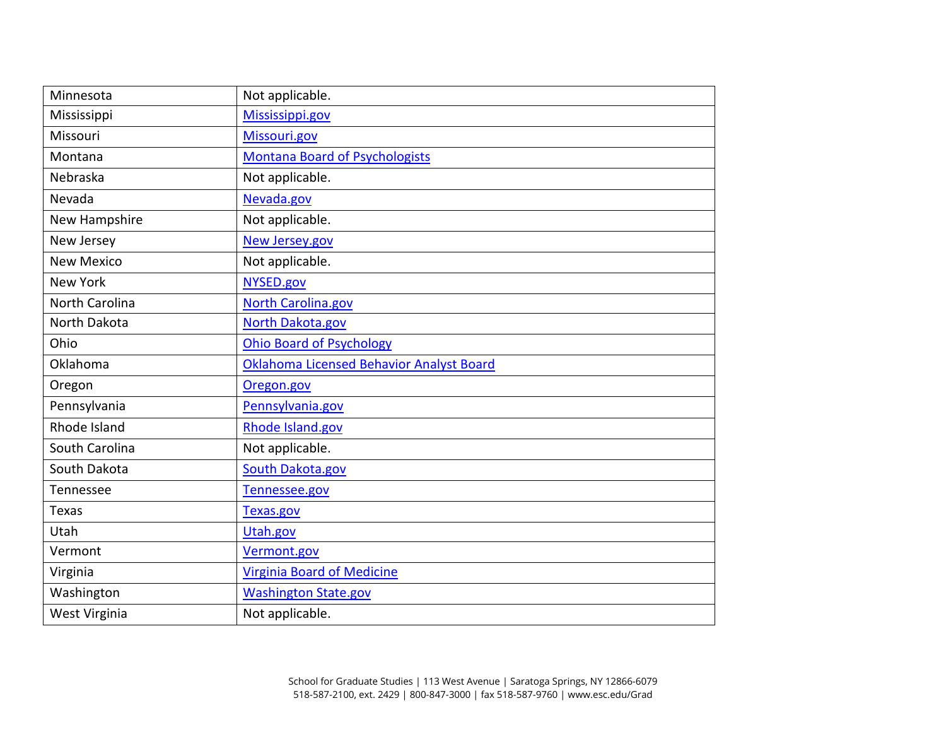| Minnesota         | Not applicable.                          |
|-------------------|------------------------------------------|
| Mississippi       | Mississippi.gov                          |
| Missouri          | Missouri.gov                             |
| Montana           | <b>Montana Board of Psychologists</b>    |
| Nebraska          | Not applicable.                          |
| Nevada            | Nevada.gov                               |
| New Hampshire     | Not applicable.                          |
| New Jersey        | New Jersey.gov                           |
| <b>New Mexico</b> | Not applicable.                          |
| <b>New York</b>   | NYSED.gov                                |
| North Carolina    | North Carolina.gov                       |
| North Dakota      | North Dakota.gov                         |
| Ohio              | <b>Ohio Board of Psychology</b>          |
| Oklahoma          | Oklahoma Licensed Behavior Analyst Board |
| Oregon            | Oregon.gov                               |
| Pennsylvania      | Pennsylvania.gov                         |
| Rhode Island      | Rhode Island.gov                         |
| South Carolina    | Not applicable.                          |
| South Dakota      | South Dakota.gov                         |
| Tennessee         | Tennessee.gov                            |
| <b>Texas</b>      | Texas.gov                                |
| Utah              | Utah.gov                                 |
| Vermont           | Vermont.gov                              |
| Virginia          | <b>Virginia Board of Medicine</b>        |
| Washington        | <b>Washington State.gov</b>              |
| West Virginia     | Not applicable.                          |